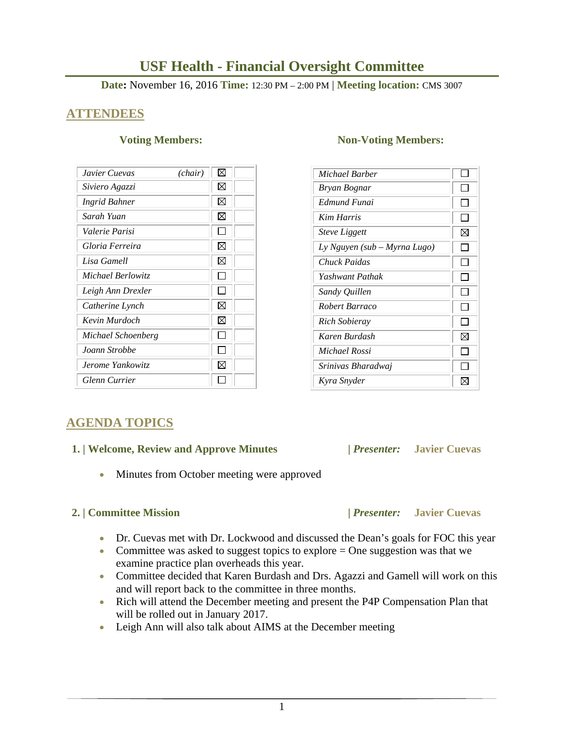# 1

# **USF Health - Financial Oversight Committee**

# **Date:** November 16, 2016 **Time:** 12:30 PM – 2:00 PM | **Meeting location:** CMS 3007

# **ATTENDEES**

| Javier Cuevas        | (chair) | ⊠           |
|----------------------|---------|-------------|
| Siviero Agazzi       |         | ⊠           |
| <b>Ingrid Bahner</b> |         | $\boxtimes$ |
| Sarah Yuan           |         | ⊠           |
| Valerie Parisi       |         |             |
| Gloria Ferreira      |         | ⊠           |
| Lisa Gamell          |         | ⊠           |
| Michael Berlowitz    |         |             |
| Leigh Ann Drexler    |         |             |
| Catherine Lynch      |         | ⊠           |
| Kevin Murdoch        |         | ⊠           |
| Michael Schoenberg   |         |             |
| Joann Strobbe        |         |             |
| Jerome Yankowitz     |         | M           |
| Glenn Currier        |         |             |

# **AGENDA TOPICS**

## **1. | Welcome, Review and Approve Minutes****|** *Presenter:* **Javier Cuevas**

• Minutes from October meeting were approved

- Dr. Cuevas met with Dr. Lockwood and discussed the Dean's goals for FOC this year
- Committee was asked to suggest topics to explore  $=$  One suggestion was that we examine practice plan overheads this year.
- Committee decided that Karen Burdash and Drs. Agazzi and Gamell will work on this and will report back to the committee in three months.
- Rich will attend the December meeting and present the P4P Compensation Plan that will be rolled out in January 2017.
- Leigh Ann will also talk about AIMS at the December meeting

### **Voting Members:** Non-Voting Members:

| Michael Barber               |   |
|------------------------------|---|
| Bryan Bognar                 |   |
| Edmund Funai                 |   |
| Kim Harris                   |   |
| <b>Steve Liggett</b>         | ⊠ |
| Ly Nguyen (sub – Myrna Lugo) |   |
| Chuck Paidas                 |   |
| Yashwant Pathak              |   |
| Sandy Quillen                |   |
| Robert Barraco               |   |
| Rich Sobieray                |   |
| Karen Burdash                | ⊠ |
| Michael Rossi                |   |
| Srinivas Bharadwaj           |   |
| Kyra Snyder                  |   |

 **2. | Committee Mission |** *Presenter:* **Javier Cuevas**